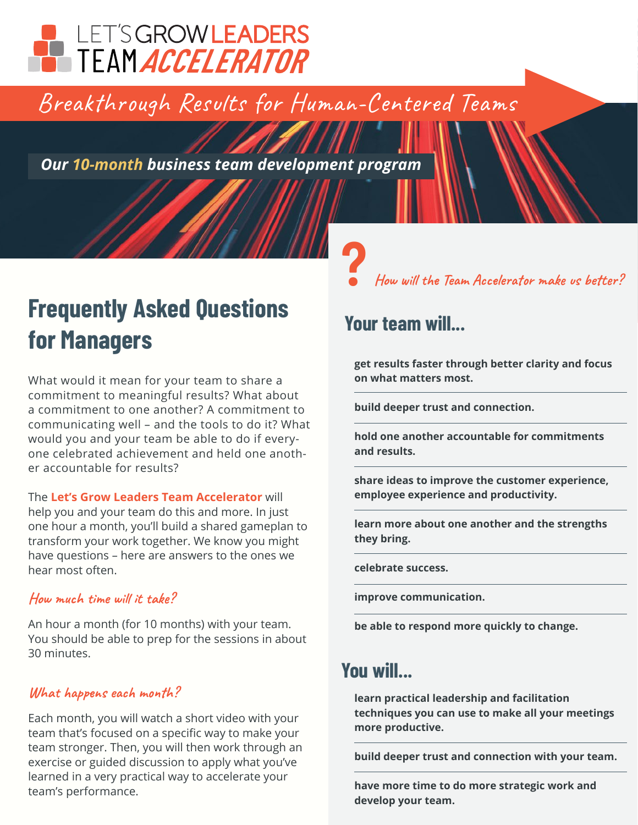# LET'S GROWLEADERS

Breakthrough Results for Human-Centered Teams

*Our 10-month business team development program*

## **Frequently Asked Questions for Managers**

What would it mean for your team to share a commitment to meaningful results? What about a commitment to one another? A commitment to communicating well – and the tools to do it? What would you and your team be able to do if everyone celebrated achievement and held one another accountable for results?

The **[Let's Grow Leaders Team Accelerator](https://letsgrowleaders.com/team-accelerator-program/)** will help you and your team do this and more. In just one hour a month, you'll build a shared gameplan to transform your work together. We know you might have questions – here are answers to the ones we hear most often.

#### **How much time will it take?**

An hour a month (for 10 months) with your team. You should be able to prep for the sessions in about 30 minutes.

#### **What happens each month?**

Each month, you will watch a short video with your team that's focused on a specific way to make your team stronger. Then, you will then work through an exercise or guided discussion to apply what you've learned in a very practical way to accelerate your team's performance.

**? How will the Team Accelerator make us better?**

### **Your team will...**

**get results faster through better clarity and focus on what matters most.**

**build deeper trust and connection.**

**hold one another accountable for commitments and results.**

**share ideas to improve the customer experience, employee experience and productivity.**

**learn more about one another and the strengths they bring.**

**celebrate success.**

**improve communication.**

**be able to respond more quickly to change.**

## **You will...**

**learn practical leadership and facilitation techniques you can use to make all your meetings more productive.**

**build deeper trust and connection with your team.**

**have more time to do more strategic work and develop your team.**